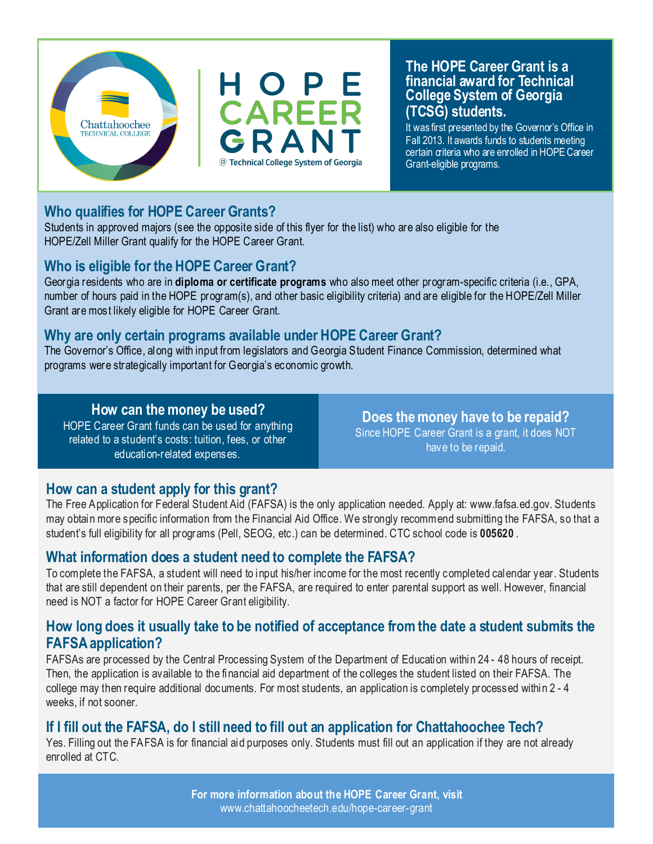

#### **The HOPE Career Grant is a financial award for Technical College System of Georgia (TCSG) students.**

It was first presented by the Governor's Office in Fall 2013. It awards funds to students meeting certain criteria who are enrolled in HOPE Career Grant-eligible programs.

#### **Who qualifies for HOPE Career Grants?**

Students in approved majors (see the opposite side of this flyer for the list) who are also eligible for the HOPE/Zell Miller Grant qualify for the HOPE Career Grant.

#### **Who is eligible for the HOPE Career Grant?**

Georgia residents who are in **diploma or certificate programs** who also meet other program-specific criteria (i.e., GPA, number of hours paid in the HOPE program(s), and other basic eligibility criteria) and are eligible for the HOPE/Zell Miller Grant are most likely eligible for HOPE Career Grant.

#### **Why are only certain programs available under HOPE Career Grant?**

The Governor's Office, along with input from legislators and Georgia Student Finance Commission, determined what programs were strategically important for Georgia's economic growth.

#### **How can the money be used?**

HOPE Career Grant funds can be used for anything related to a student's costs: tuition, fees, or other education-related expenses.

**Does the money have to be repaid?**  Since HOPE Career Grant is a grant, it does NOT have to be repaid.

#### **How can a student apply for this grant?**

The Free Application for Federal Student Aid (FAFSA) is the only application needed. Apply at: www.fafsa.ed.gov. Students may obtain more specific information from the Financial Aid Office. We strongly recommend submitting the FAFSA, so that a student's full eligibility for all programs (Pell, SEOG, etc.) can be determined. CTC school code is **005620** .

#### **What information does a student need to complete the FAFSA?**

To complete the FAFSA, a student will need to input his/her income for the most recently completed calendar year. Students that are still dependent on their parents, per the FAFSA, are required to enter parental support as well. However, financial need is NOT a factor for HOPE Career Grant eligibility.

#### **How long does it usually take to be notified of acceptance from the date a student submits the FAFSA application?**

FAFSAs are processed by the Central Processing System of the Department of Education within 24 - 48 hours of receipt. Then, the application is available to the financial aid department of the colleges the student listed on their FAFSA. The college may then require additional documents. For most students, an application is completely processed within 2 - 4 weeks, if not sooner.

#### **If I fill out the FAFSA, do I still need to fill out an application for Chattahoochee Tech?**

Yes. Filling out the FAFSA is for financial aid purposes only. Students must fill out an application if they are not already enrolled at CTC.